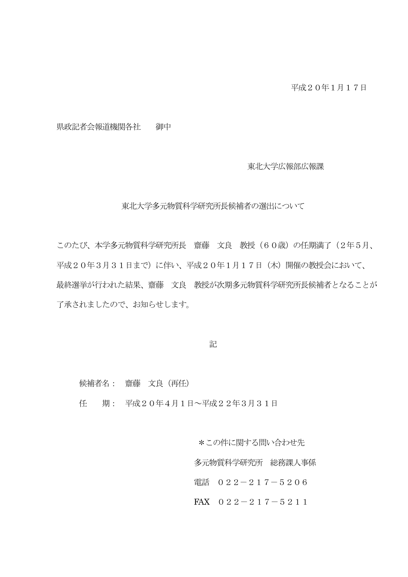県政記者会報道機関各社 御中

東北大学広報部広報課

東北大学多元物質科学研究所長候補者の選出について

このたび、本学多元物質科学研究所長 齋藤 文良 教授(60歳)の任期満了(2年5月、 平成20年3月31日まで)に伴い、平成20年1月17日(木)開催の教授会において、 最終選挙が行われた結果、齋藤 文良 教授が次期多元物質科学研究所長候補者となることが 了承されましたので、お知らせします。

記

候補者名: 齋藤 文良(再任)

任 期: 平成20年4月1日~平成22年3月31日

 \*この件に関する問い合わせ先 多元物質科学研究所 総務課人事係 電話 022-217-5206

FAX 022-217-5211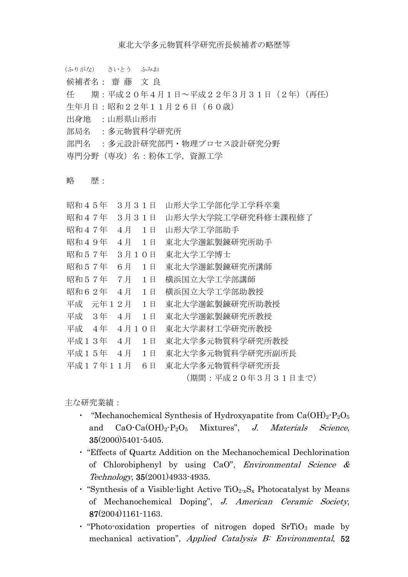```
 (ふりがな) さいとう ふみお
```

```
 候補者名: 齋 藤 文 良
```
任 期:平成20年4月1日~平成22年3月31日(2年)(再任)

- 生年月日:昭和22年11月26日(60歳)
- 出身地 :山形県山形市
- 部局名 :多元物質科学研究所

部門名 : 多元設計研究部門・物理プロセス設計研究分野

専門分野(専攻)名:粉体工学,資源工学

## 略 歴:

| 昭和45年    |      | 3月31日 |    | 山形大学工学部化学工学科卒業     |
|----------|------|-------|----|--------------------|
| 昭和47年    |      | 3月31日 |    | 山形大学大学院工学研究科修士課程修了 |
| 昭和47年    |      | 4月    | 1日 | 山形大学工学部助手          |
| 昭和49年    |      | 4月    | 1日 | 東北大学選鉱製錬研究所助手      |
| 昭和57年    |      | 3月1   | 0E | 東北大学工学博士           |
| 昭和57年    |      | 6月    | 1日 | 東北大学選鉱製錬研究所講師      |
| 昭和57年    |      | 7月    | 1日 | 横浜国立大学工学部講師        |
| 昭和62年    |      | 4月    | 1日 | 横浜国立大学工学部助教授       |
| 平成       | 元年 1 | $2$ 月 | 1日 | 東北大学選鉱製錬研究所助教授     |
| 平成 3年    |      | 4月    | 1日 | 東北大学選鉱製錬研究所教授      |
| 平成       | 4年   | 4月1   | 0E | 東北大学素材工学研究所教授      |
| 平成13年    |      | 4月    | 1日 | 東北大学多元物質科学研究所教授    |
| 平成15年    |      | 4月    | 1日 | 東北大学多元物質科学研究所副所長   |
| 平成17年11月 |      |       | 6日 | 東北大学多元物質科学研究所長     |
|          |      |       |    | (期間:平成20年3月31日まで)  |

主な研究業績:

- "Mechanochemical Synthesis of Hydroxyapatite from  $Ca(OH)_2 \cdot P_2O_5$ and  $CaO \cdot Ca(OH)_2 \cdot P_2O_5$  Mixtures", *J. Materials Science*, 35(2000)5401-5405.
- ・ "Effects of Quartz Addition on the Mechanochemical Dechlorination of Chlorobiphenyl by using CaO", Environmental Science & Technology, 35(2001)4933-4935.
- "Synthesis of a Visible-light Active  $TiO_{2-x}S_x$  Photocatalyst by Means of Mechanochemical Doping", J. American Ceramic Society, 87(2004)1161-1163.
- $\cdot$  "Photo-oxidation properties of nitrogen doped SrTiO<sub>3</sub> made by mechanical activation", Applied Catalysis B: Environmental, 52